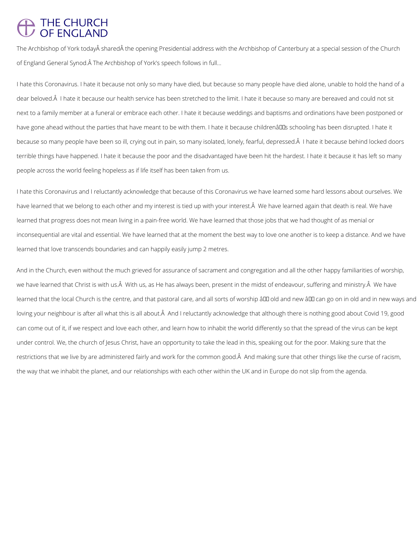## THE CHURCH<br>OF ENGLAND

The Archbishop of York today shared the opening Presidential address with the Archbishop of Canterbury at a special session of the Church of England General Synod. A The Archbishop of York's speech follows in full...

I hate this Coronavirus. I hate it because not only so many have died, but because so many people have died alone, unable to hold the hand of a dear beloved. I hate it because our health service has been stretched to the limit. I hate it because so many are bereaved and could not sit next to a family member at a funeral or embrace each other. I hate it because weddings and baptisms and ordinations have been postponed or have gone ahead without the parties that have meant to be with them. I hate it because childrenâll us schooling has been disrupted. I hate it because so many people have been so ill, crying out in pain, so many isolated, lonely, fearful, depressed. I hate it because behind locked doors terrible things have happened. I hate it because the poor and the disadvantaged have been hit the hardest. I hate it because it has left so many people across the world feeling hopeless as if life itself has been taken from us.

I hate this Coronavirus and I reluctantly acknowledge that because of this Coronavirus we have learned some hard lessons about ourselves. We have learned that we belong to each other and my interest is tied up with your interest. A We have learned again that death is real. We have learned that progress does not mean living in a pain-free world. We have learned that those jobs that we had thought of as menial or inconsequential are vital and essential. We have learned that at the moment the best way to love one another is to keep a distance. And we have learned that love transcends boundaries and can happily easily jump 2 metres.

And in the Church, even without the much grieved for assurance of sacrament and congregation and all the other happy familiarities of worship, we have learned that Christ is with us. Â With us, as He has always been, present in the midst of endeavour, suffering and ministry. Â We have learned that the local Church is the centre, and that pastoral care, and all sorts of worship â D old and new â D can go on in old and in new ways and loving your neighbour is after all what this is all about. A And I reluctantly acknowledge that although there is nothing good about Covid 19, good can come out of it, if we respect and love each other, and learn how to inhabit the world differently so that the spread of the virus can be kept under control. We, the church of Jesus Christ, have an opportunity to take the lead in this, speaking out for the poor. Making sure that the restrictions that we live by are administered fairly and work for the common good. A And making sure that other things like the curse of racism, the way that we inhabit the planet, and our relationships with each other within the UK and in Europe do not slip from the agenda.